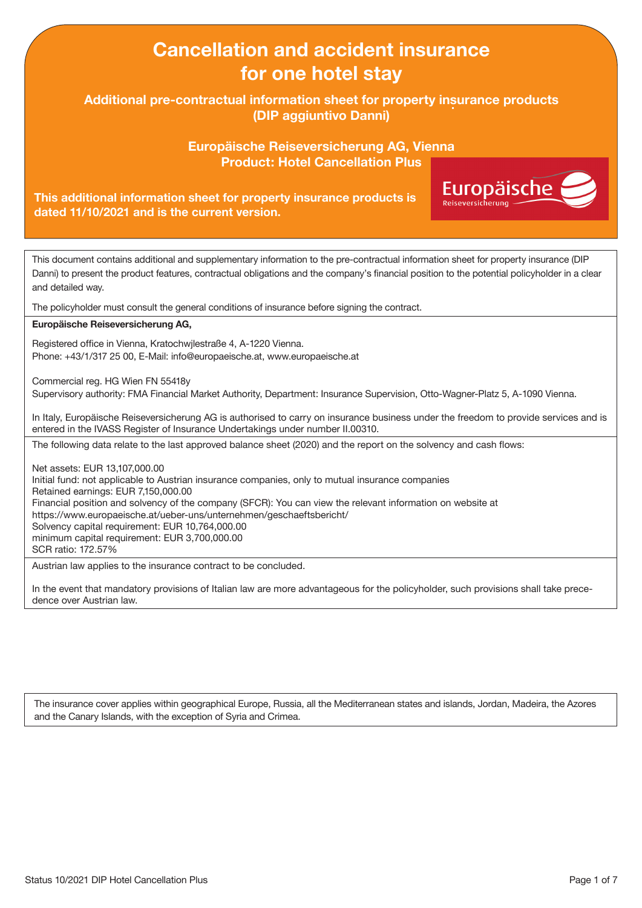# Cancellation and accident insurance for one hotel stay

Additional pre-contractual information sheet for property insurance products (DIP aggiuntivo Danni)

> Europäische Reiseversicherung AG, Vienna Product: Hotel Cancellation Plus

> > **Europäische**

### This additional information sheet for property insurance products is dated 11/10/2021 and is the current version.

This document contains additional and supplementary information to the pre-contractual information sheet for property insurance (DIP Danni) to present the product features, contractual obligations and the company's financial position to the potential policyholder in a clear and detailed way.

The policyholder must consult the general conditions of insurance before signing the contract.

#### Europäische Reiseversicherung AG,

Registered office in Vienna, Kratochwjlestraße 4, A-1220 Vienna. Phone: +43/1/317 25 00, E-Mail: info@europaeische.at, www.europaeische.at

Commercial reg. HG Wien FN 55418y

Supervisory authority: FMA Financial Market Authority, Department: Insurance Supervision, Otto-Wagner-Platz 5, A-1090 Vienna.

In Italy, Europäische Reiseversicherung AG is authorised to carry on insurance business under the freedom to provide services and is entered in the IVASS Register of Insurance Undertakings under number II.00310.

The following data relate to the last approved balance sheet (2020) and the report on the solvency and cash flows:

Net assets: EUR 13,107,000.00 Initial fund: not applicable to Austrian insurance companies, only to mutual insurance companies Retained earnings: EUR 7,150,000.00 Financial position and solvency of the company (SFCR): You can view the relevant information on website at https://www.europaeische.at/ueber-uns/unternehmen/geschaeftsbericht/ Solvency capital requirement: EUR 10,764,000.00 minimum capital requirement: EUR 3,700,000.00 SCR ratio: 172.57%

Austrian law applies to the insurance contract to be concluded.

In the event that mandatory provisions of Italian law are more advantageous for the policyholder, such provisions shall take precedence over Austrian law.

The insurance cover applies within geographical Europe, Russia, all the Mediterranean states and islands, Jordan, Madeira, the Azores and the Canary Islands, with the exception of Syria and Crimea.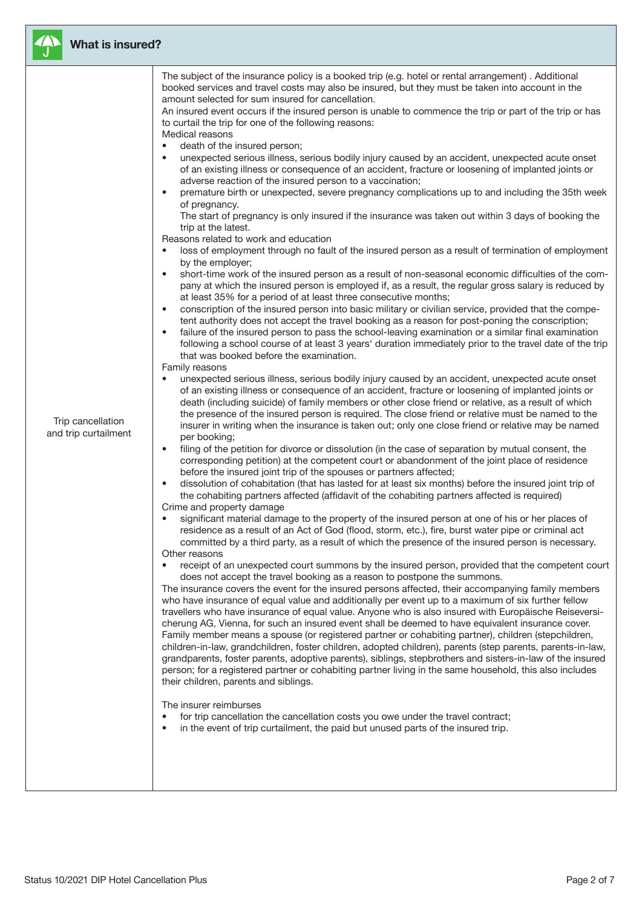

## What is insured?

Trip cancellation and trip curtailment The subject of the insurance policy is a booked trip (e.g. hotel or rental arrangement) . Additional booked services and travel costs may also be insured, but they must be taken into account in the amount selected for sum insured for cancellation.

An insured event occurs if the insured person is unable to commence the trip or part of the trip or has to curtail the trip for one of the following reasons: Medical reasons

- death of the insured person;
- unexpected serious illness, serious bodily injury caused by an accident, unexpected acute onset of an existing illness or consequence of an accident, fracture or loosening of implanted joints or adverse reaction of the insured person to a vaccination;
- premature birth or unexpected, severe pregnancy complications up to and including the 35th week of pregnancy.

The start of pregnancy is only insured if the insurance was taken out within 3 days of booking the trip at the latest.

Reasons related to work and education

- loss of employment through no fault of the insured person as a result of termination of employment by the employer;
- short-time work of the insured person as a result of non-seasonal economic difficulties of the company at which the insured person is employed if, as a result, the regular gross salary is reduced by at least 35% for a period of at least three consecutive months;
- conscription of the insured person into basic military or civilian service, provided that the competent authority does not accept the travel booking as a reason for post-poning the conscription;
- failure of the insured person to pass the school-leaving examination or a similar final examination following a school course of at least 3 years' duration immediately prior to the travel date of the trip that was booked before the examination.

#### Family reasons

- unexpected serious illness, serious bodily injury caused by an accident, unexpected acute onset of an existing illness or consequence of an accident, fracture or loosening of implanted joints or death (including suicide) of family members or other close friend or relative, as a result of which the presence of the insured person is required. The close friend or relative must be named to the insurer in writing when the insurance is taken out; only one close friend or relative may be named per booking;
- filing of the petition for divorce or dissolution (in the case of separation by mutual consent, the corresponding petition) at the competent court or abandonment of the joint place of residence before the insured joint trip of the spouses or partners affected;
- dissolution of cohabitation (that has lasted for at least six months) before the insured joint trip of the cohabiting partners affected (affidavit of the cohabiting partners affected is required) Crime and property damage
- significant material damage to the property of the insured person at one of his or her places of residence as a result of an Act of God (flood, storm, etc.), fire, burst water pipe or criminal act committed by a third party, as a result of which the presence of the insured person is necessary. Other reasons
- receipt of an unexpected court summons by the insured person, provided that the competent court does not accept the travel booking as a reason to postpone the summons.

The insurance covers the event for the insured persons affected, their accompanying family members who have insurance of equal value and additionally per event up to a maximum of six further fellow travellers who have insurance of equal value. Anyone who is also insured with Europäische Reiseversicherung AG, Vienna, for such an insured event shall be deemed to have equivalent insurance cover. Family member means a spouse (or registered partner or cohabiting partner), children (stepchildren, children-in-law, grandchildren, foster children, adopted children), parents (step parents, parents-in-law, grandparents, foster parents, adoptive parents), siblings, stepbrothers and sisters-in-law of the insured person; for a registered partner or cohabiting partner living in the same household, this also includes their children, parents and siblings.

The insurer reimburses

- for trip cancellation the cancellation costs you owe under the travel contract;
- in the event of trip curtailment, the paid but unused parts of the insured trip.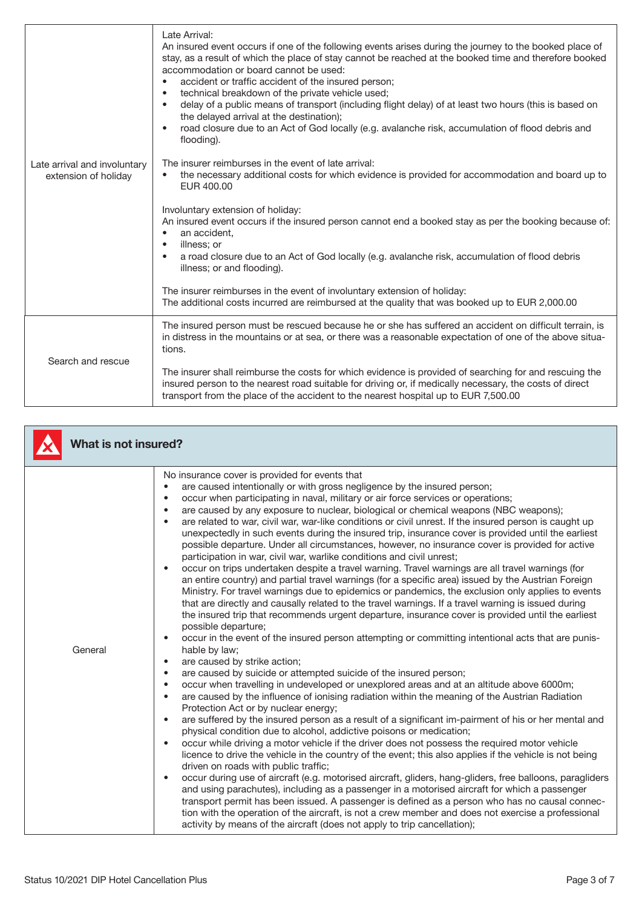| Late arrival and involuntary<br>extension of holiday | delay of a public means of transport (including flight delay) of at least two hours (this is based on<br>$\bullet$<br>the delayed arrival at the destination);<br>road closure due to an Act of God locally (e.g. avalanche risk, accumulation of flood debris and<br>flooding).<br>The insurer reimburses in the event of late arrival:<br>the necessary additional costs for which evidence is provided for accommodation and board up to<br>EUR 400.00<br>Involuntary extension of holiday:<br>An insured event occurs if the insured person cannot end a booked stay as per the booking because of:<br>an accident,<br>illness; or<br>٠<br>a road closure due to an Act of God locally (e.g. avalanche risk, accumulation of flood debris<br>$\bullet$<br>illness; or and flooding).<br>The insurer reimburses in the event of involuntary extension of holiday:<br>The additional costs incurred are reimbursed at the quality that was booked up to EUR 2,000.00 |
|------------------------------------------------------|------------------------------------------------------------------------------------------------------------------------------------------------------------------------------------------------------------------------------------------------------------------------------------------------------------------------------------------------------------------------------------------------------------------------------------------------------------------------------------------------------------------------------------------------------------------------------------------------------------------------------------------------------------------------------------------------------------------------------------------------------------------------------------------------------------------------------------------------------------------------------------------------------------------------------------------------------------------------|
| Search and rescue                                    | The insured person must be rescued because he or she has suffered an accident on difficult terrain, is<br>in distress in the mountains or at sea, or there was a reasonable expectation of one of the above situa-<br>tions.<br>The insurer shall reimburse the costs for which evidence is provided of searching for and rescuing the<br>insured person to the nearest road suitable for driving or, if medically necessary, the costs of direct<br>transport from the place of the accident to the nearest hospital up to EUR 7,500.00                                                                                                                                                                                                                                                                                                                                                                                                                               |

| <b>What is not insured?</b> |                                                                                                                                                                                                                                                                                                                                                                                                                                                                                                                                                                                                                                                                                                                                                                                                                                                                                                                                                                                                                                                                                                                                                                                                                                                                                                                                                                                                                                                                                                                                                                                                                                                                                                                                                                                                                                                                                                                                                                                                                                                                                                                                                                                                                                                                                                                                                                                                                                                                                                                                                                                                                                                                           |
|-----------------------------|---------------------------------------------------------------------------------------------------------------------------------------------------------------------------------------------------------------------------------------------------------------------------------------------------------------------------------------------------------------------------------------------------------------------------------------------------------------------------------------------------------------------------------------------------------------------------------------------------------------------------------------------------------------------------------------------------------------------------------------------------------------------------------------------------------------------------------------------------------------------------------------------------------------------------------------------------------------------------------------------------------------------------------------------------------------------------------------------------------------------------------------------------------------------------------------------------------------------------------------------------------------------------------------------------------------------------------------------------------------------------------------------------------------------------------------------------------------------------------------------------------------------------------------------------------------------------------------------------------------------------------------------------------------------------------------------------------------------------------------------------------------------------------------------------------------------------------------------------------------------------------------------------------------------------------------------------------------------------------------------------------------------------------------------------------------------------------------------------------------------------------------------------------------------------------------------------------------------------------------------------------------------------------------------------------------------------------------------------------------------------------------------------------------------------------------------------------------------------------------------------------------------------------------------------------------------------------------------------------------------------------------------------------------------------|
| General                     | No insurance cover is provided for events that<br>are caused intentionally or with gross negligence by the insured person;<br>occur when participating in naval, military or air force services or operations;<br>are caused by any exposure to nuclear, biological or chemical weapons (NBC weapons);<br>are related to war, civil war, war-like conditions or civil unrest. If the insured person is caught up<br>unexpectedly in such events during the insured trip, insurance cover is provided until the earliest<br>possible departure. Under all circumstances, however, no insurance cover is provided for active<br>participation in war, civil war, warlike conditions and civil unrest;<br>occur on trips undertaken despite a travel warning. Travel warnings are all travel warnings (for<br>an entire country) and partial travel warnings (for a specific area) issued by the Austrian Foreign<br>Ministry. For travel warnings due to epidemics or pandemics, the exclusion only applies to events<br>that are directly and causally related to the travel warnings. If a travel warning is issued during<br>the insured trip that recommends urgent departure, insurance cover is provided until the earliest<br>possible departure;<br>occur in the event of the insured person attempting or committing intentional acts that are punis-<br>$\bullet$<br>hable by law;<br>are caused by strike action;<br>are caused by suicide or attempted suicide of the insured person;<br>occur when travelling in undeveloped or unexplored areas and at an altitude above 6000m;<br>are caused by the influence of ionising radiation within the meaning of the Austrian Radiation<br>Protection Act or by nuclear energy;<br>are suffered by the insured person as a result of a significant im-pairment of his or her mental and<br>physical condition due to alcohol, addictive poisons or medication;<br>occur while driving a motor vehicle if the driver does not possess the required motor vehicle<br>licence to drive the vehicle in the country of the event; this also applies if the vehicle is not being<br>driven on roads with public traffic;<br>occur during use of aircraft (e.g. motorised aircraft, gliders, hang-gliders, free balloons, paragliders<br>and using parachutes), including as a passenger in a motorised aircraft for which a passenger<br>transport permit has been issued. A passenger is defined as a person who has no causal connec-<br>tion with the operation of the aircraft, is not a crew member and does not exercise a professional<br>activity by means of the aircraft (does not apply to trip cancellation); |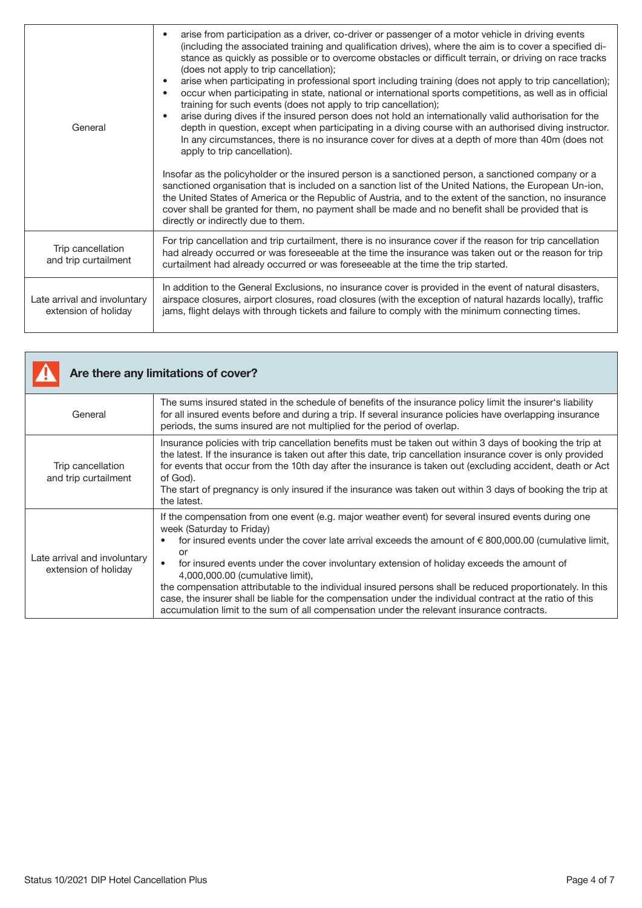| General                                              | arise from participation as a driver, co-driver or passenger of a motor vehicle in driving events<br>(including the associated training and qualification drives), where the aim is to cover a specified di-<br>stance as quickly as possible or to overcome obstacles or difficult terrain, or driving on race tracks<br>(does not apply to trip cancellation);<br>arise when participating in professional sport including training (does not apply to trip cancellation);<br>٠<br>occur when participating in state, national or international sports competitions, as well as in official<br>training for such events (does not apply to trip cancellation);<br>arise during dives if the insured person does not hold an internationally valid authorisation for the<br>depth in question, except when participating in a diving course with an authorised diving instructor.<br>In any circumstances, there is no insurance cover for dives at a depth of more than 40m (does not<br>apply to trip cancellation).<br>Insofar as the policyholder or the insured person is a sanctioned person, a sanctioned company or a<br>sanctioned organisation that is included on a sanction list of the United Nations, the European Un-ion,<br>the United States of America or the Republic of Austria, and to the extent of the sanction, no insurance<br>cover shall be granted for them, no payment shall be made and no benefit shall be provided that is<br>directly or indirectly due to them. |
|------------------------------------------------------|----------------------------------------------------------------------------------------------------------------------------------------------------------------------------------------------------------------------------------------------------------------------------------------------------------------------------------------------------------------------------------------------------------------------------------------------------------------------------------------------------------------------------------------------------------------------------------------------------------------------------------------------------------------------------------------------------------------------------------------------------------------------------------------------------------------------------------------------------------------------------------------------------------------------------------------------------------------------------------------------------------------------------------------------------------------------------------------------------------------------------------------------------------------------------------------------------------------------------------------------------------------------------------------------------------------------------------------------------------------------------------------------------------------------------------------------------------------------------------------------------|
| Trip cancellation<br>and trip curtailment            | For trip cancellation and trip curtailment, there is no insurance cover if the reason for trip cancellation<br>had already occurred or was foreseeable at the time the insurance was taken out or the reason for trip<br>curtailment had already occurred or was foreseeable at the time the trip started.                                                                                                                                                                                                                                                                                                                                                                                                                                                                                                                                                                                                                                                                                                                                                                                                                                                                                                                                                                                                                                                                                                                                                                                         |
| Late arrival and involuntary<br>extension of holiday | In addition to the General Exclusions, no insurance cover is provided in the event of natural disasters,<br>airspace closures, airport closures, road closures (with the exception of natural hazards locally), traffic<br>jams, flight delays with through tickets and failure to comply with the minimum connecting times.                                                                                                                                                                                                                                                                                                                                                                                                                                                                                                                                                                                                                                                                                                                                                                                                                                                                                                                                                                                                                                                                                                                                                                       |

| Are there any limitations of cover?                  |                                                                                                                                                                                                                                                                                                                                                                                                                                                                                                                                                                                                                                                                                                                  |
|------------------------------------------------------|------------------------------------------------------------------------------------------------------------------------------------------------------------------------------------------------------------------------------------------------------------------------------------------------------------------------------------------------------------------------------------------------------------------------------------------------------------------------------------------------------------------------------------------------------------------------------------------------------------------------------------------------------------------------------------------------------------------|
| General                                              | The sums insured stated in the schedule of benefits of the insurance policy limit the insurer's liability<br>for all insured events before and during a trip. If several insurance policies have overlapping insurance<br>periods, the sums insured are not multiplied for the period of overlap.                                                                                                                                                                                                                                                                                                                                                                                                                |
| Trip cancellation<br>and trip curtailment            | Insurance policies with trip cancellation benefits must be taken out within 3 days of booking the trip at<br>the latest. If the insurance is taken out after this date, trip cancellation insurance cover is only provided<br>for events that occur from the 10th day after the insurance is taken out (excluding accident, death or Act<br>of God).<br>The start of pregnancy is only insured if the insurance was taken out within 3 days of booking the trip at<br>the latest.                                                                                                                                                                                                                                |
| Late arrival and involuntary<br>extension of holiday | If the compensation from one event (e.g. major weather event) for several insured events during one<br>week (Saturday to Friday)<br>for insured events under the cover late arrival exceeds the amount of $\epsilon$ 800,000.00 (cumulative limit,<br>or<br>for insured events under the cover involuntary extension of holiday exceeds the amount of<br>4,000,000.00 (cumulative limit),<br>the compensation attributable to the individual insured persons shall be reduced proportionately. In this<br>case, the insurer shall be liable for the compensation under the individual contract at the ratio of this<br>accumulation limit to the sum of all compensation under the relevant insurance contracts. |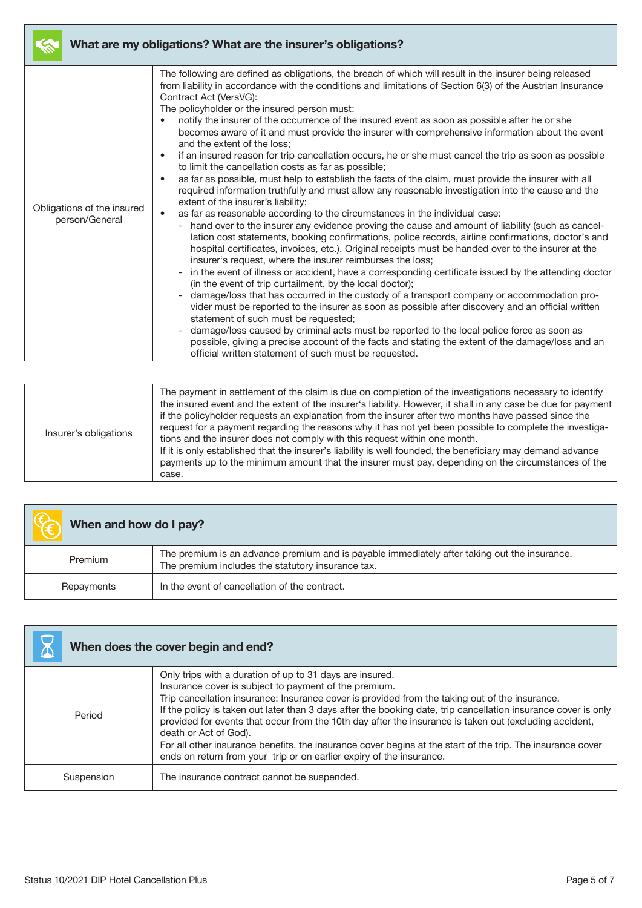| What are my obligations? What are the insurer's obligations? |                                                                                                                                                                                                                                                                                                                                                                                                                                                                                                                                                                                                                                                                                                                                                                                                                                                                                                                                                                                                                                                                                                                                                                                                                                                                                                                                                                                                                                                                                                                                                                                                                                                                                                                                                                                                                                                                                                                                                                                                                                                                                                                                                 |
|--------------------------------------------------------------|-------------------------------------------------------------------------------------------------------------------------------------------------------------------------------------------------------------------------------------------------------------------------------------------------------------------------------------------------------------------------------------------------------------------------------------------------------------------------------------------------------------------------------------------------------------------------------------------------------------------------------------------------------------------------------------------------------------------------------------------------------------------------------------------------------------------------------------------------------------------------------------------------------------------------------------------------------------------------------------------------------------------------------------------------------------------------------------------------------------------------------------------------------------------------------------------------------------------------------------------------------------------------------------------------------------------------------------------------------------------------------------------------------------------------------------------------------------------------------------------------------------------------------------------------------------------------------------------------------------------------------------------------------------------------------------------------------------------------------------------------------------------------------------------------------------------------------------------------------------------------------------------------------------------------------------------------------------------------------------------------------------------------------------------------------------------------------------------------------------------------------------------------|
| Obligations of the insured<br>person/General                 | The following are defined as obligations, the breach of which will result in the insurer being released<br>from liability in accordance with the conditions and limitations of Section 6(3) of the Austrian Insurance<br>Contract Act (VersVG):<br>The policyholder or the insured person must:<br>notify the insurer of the occurrence of the insured event as soon as possible after he or she<br>$\bullet$<br>becomes aware of it and must provide the insurer with comprehensive information about the event<br>and the extent of the loss:<br>if an insured reason for trip cancellation occurs, he or she must cancel the trip as soon as possible<br>$\bullet$<br>to limit the cancellation costs as far as possible;<br>as far as possible, must help to establish the facts of the claim, must provide the insurer with all<br>$\bullet$<br>required information truthfully and must allow any reasonable investigation into the cause and the<br>extent of the insurer's liability;<br>as far as reasonable according to the circumstances in the individual case:<br>$\bullet$<br>hand over to the insurer any evidence proving the cause and amount of liability (such as cancel-<br>lation cost statements, booking confirmations, police records, airline confirmations, doctor's and<br>hospital certificates, invoices, etc.). Original receipts must be handed over to the insurer at the<br>insurer's request, where the insurer reimburses the loss;<br>in the event of illness or accident, have a corresponding certificate issued by the attending doctor<br>(in the event of trip curtailment, by the local doctor);<br>damage/loss that has occurred in the custody of a transport company or accommodation pro-<br>vider must be reported to the insurer as soon as possible after discovery and an official written<br>statement of such must be requested;<br>damage/loss caused by criminal acts must be reported to the local police force as soon as<br>possible, giving a precise account of the facts and stating the extent of the damage/loss and an<br>official written statement of such must be requested. |

| Insurer's obligations | The payment in settlement of the claim is due on completion of the investigations necessary to identify<br>the insured event and the extent of the insurer's liability. However, it shall in any case be due for payment<br>if the policyholder requests an explanation from the insurer after two months have passed since the<br>request for a payment regarding the reasons why it has not yet been possible to complete the investiga-<br>tions and the insurer does not comply with this request within one month.<br>If it is only established that the insurer's liability is well founded, the beneficiary may demand advance<br>payments up to the minimum amount that the insurer must pay, depending on the circumstances of the<br>case. |
|-----------------------|------------------------------------------------------------------------------------------------------------------------------------------------------------------------------------------------------------------------------------------------------------------------------------------------------------------------------------------------------------------------------------------------------------------------------------------------------------------------------------------------------------------------------------------------------------------------------------------------------------------------------------------------------------------------------------------------------------------------------------------------------|
|-----------------------|------------------------------------------------------------------------------------------------------------------------------------------------------------------------------------------------------------------------------------------------------------------------------------------------------------------------------------------------------------------------------------------------------------------------------------------------------------------------------------------------------------------------------------------------------------------------------------------------------------------------------------------------------------------------------------------------------------------------------------------------------|

| When and how do I pay? |                                                                                                                                                   |
|------------------------|---------------------------------------------------------------------------------------------------------------------------------------------------|
| Premium                | The premium is an advance premium and is payable immediately after taking out the insurance.<br>The premium includes the statutory insurance tax. |
| Repayments             | In the event of cancellation of the contract.                                                                                                     |

| When does the cover begin and end? |                                                                                                                                                                                                                                                                                                                                                                                                                                                                                                                                                                                                                                                                |
|------------------------------------|----------------------------------------------------------------------------------------------------------------------------------------------------------------------------------------------------------------------------------------------------------------------------------------------------------------------------------------------------------------------------------------------------------------------------------------------------------------------------------------------------------------------------------------------------------------------------------------------------------------------------------------------------------------|
| Period                             | Only trips with a duration of up to 31 days are insured.<br>Insurance cover is subject to payment of the premium.<br>Trip cancellation insurance: Insurance cover is provided from the taking out of the insurance.<br>If the policy is taken out later than 3 days after the booking date, trip cancellation insurance cover is only<br>provided for events that occur from the 10th day after the insurance is taken out (excluding accident,<br>death or Act of God).<br>For all other insurance benefits, the insurance cover begins at the start of the trip. The insurance cover<br>ends on return from your trip or on earlier expiry of the insurance. |
| Suspension                         | The insurance contract cannot be suspended.                                                                                                                                                                                                                                                                                                                                                                                                                                                                                                                                                                                                                    |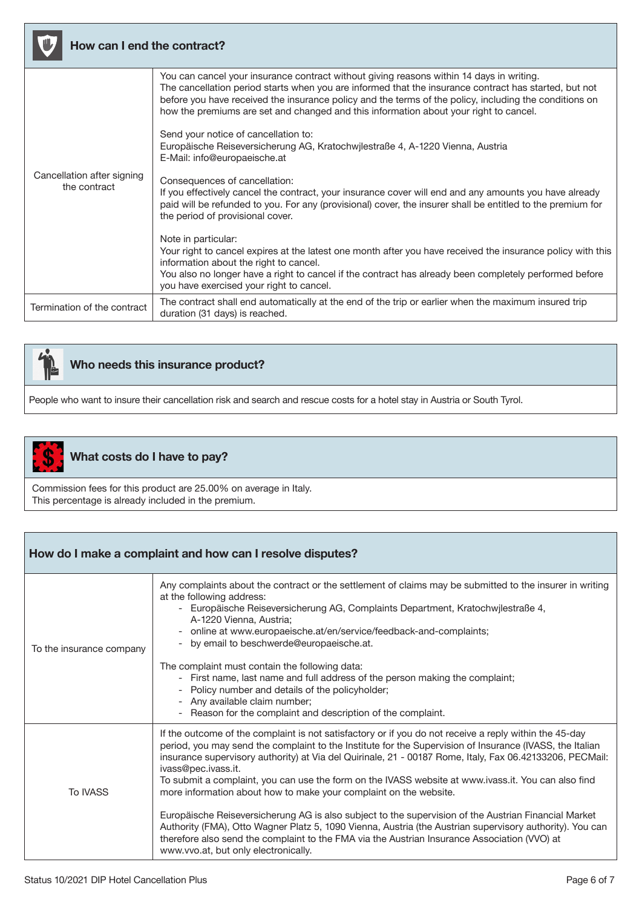| How can I end the contract?                |                                                                                                                                                                                                                                                                                                                                                                                                      |
|--------------------------------------------|------------------------------------------------------------------------------------------------------------------------------------------------------------------------------------------------------------------------------------------------------------------------------------------------------------------------------------------------------------------------------------------------------|
| Cancellation after signing<br>the contract | You can cancel your insurance contract without giving reasons within 14 days in writing.<br>The cancellation period starts when you are informed that the insurance contract has started, but not<br>before you have received the insurance policy and the terms of the policy, including the conditions on<br>how the premiums are set and changed and this information about your right to cancel. |
|                                            | Send your notice of cancellation to:<br>Europäische Reiseversicherung AG, Kratochwjlestraße 4, A-1220 Vienna, Austria<br>E-Mail: info@europaeische.at                                                                                                                                                                                                                                                |
|                                            | Consequences of cancellation:<br>If you effectively cancel the contract, your insurance cover will end and any amounts you have already<br>paid will be refunded to you. For any (provisional) cover, the insurer shall be entitled to the premium for<br>the period of provisional cover.                                                                                                           |
|                                            | Note in particular:<br>Your right to cancel expires at the latest one month after you have received the insurance policy with this<br>information about the right to cancel.<br>You also no longer have a right to cancel if the contract has already been completely performed before<br>you have exercised your right to cancel.                                                                   |
| Termination of the contract                | The contract shall end automatically at the end of the trip or earlier when the maximum insured trip<br>duration (31 days) is reached.                                                                                                                                                                                                                                                               |



## Who needs this insurance product?

People who want to insure their cancellation risk and search and rescue costs for a hotel stay in Austria or South Tyrol.



## What costs do I have to pay?

Commission fees for this product are 25.00% on average in Italy. This percentage is already included in the premium.

| How do I make a complaint and how can I resolve disputes? |                                                                                                                                                                                                                                                                                                                                                                                                                                                                                                                                                                                                                                                                                                                                                                                                                                                                                               |
|-----------------------------------------------------------|-----------------------------------------------------------------------------------------------------------------------------------------------------------------------------------------------------------------------------------------------------------------------------------------------------------------------------------------------------------------------------------------------------------------------------------------------------------------------------------------------------------------------------------------------------------------------------------------------------------------------------------------------------------------------------------------------------------------------------------------------------------------------------------------------------------------------------------------------------------------------------------------------|
| To the insurance company                                  | Any complaints about the contract or the settlement of claims may be submitted to the insurer in writing<br>at the following address:<br>Europäische Reiseversicherung AG, Complaints Department, Kratochwilestraße 4,<br>$\overline{\phantom{a}}$<br>A-1220 Vienna, Austria;<br>online at www.europaeische.at/en/service/feedback-and-complaints;<br>by email to beschwerde@europaeische.at.<br>The complaint must contain the following data:<br>- First name, last name and full address of the person making the complaint;<br>Policy number and details of the policyholder;<br>$\overline{\phantom{a}}$<br>Any available claim number;<br>$\overline{\phantom{a}}$<br>Reason for the complaint and description of the complaint.                                                                                                                                                        |
| <b>To IVASS</b>                                           | If the outcome of the complaint is not satisfactory or if you do not receive a reply within the 45-day<br>period, you may send the complaint to the Institute for the Supervision of Insurance (IVASS, the Italian<br>insurance supervisory authority) at Via del Quirinale, 21 - 00187 Rome, Italy, Fax 06.42133206, PECMail:<br>ivass@pec.ivass.it.<br>To submit a complaint, you can use the form on the IVASS website at www.ivass.it. You can also find<br>more information about how to make your complaint on the website.<br>Europäische Reiseversicherung AG is also subject to the supervision of the Austrian Financial Market<br>Authority (FMA), Otto Wagner Platz 5, 1090 Vienna, Austria (the Austrian supervisory authority). You can<br>therefore also send the complaint to the FMA via the Austrian Insurance Association (VVO) at<br>www.vvo.at, but only electronically. |